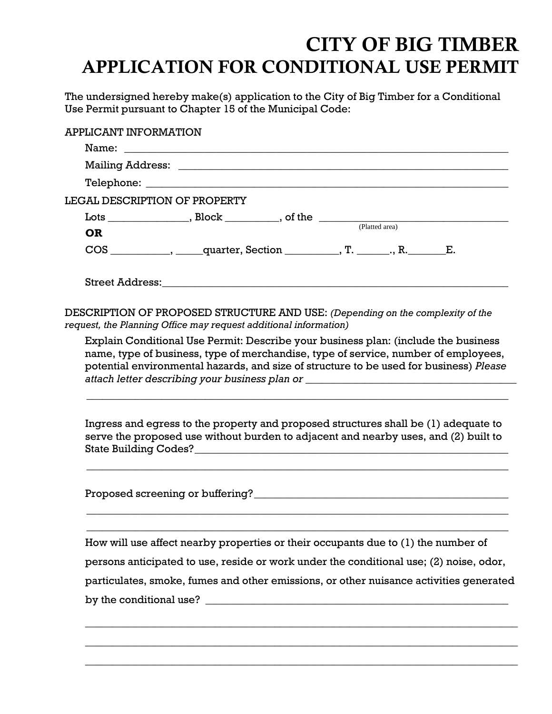## CITY OF BIG TIMBER APPLICATION FOR CONDITIONAL USE PERMIT

The undersigned hereby make(s) application to the City of Big Timber for a Conditional Use Permit pursuant to Chapter 15 of the Municipal Code:

| APPLICANT INFORMATION |                                                                                                                                                                                                                                                                                                                                                        |  |  |
|-----------------------|--------------------------------------------------------------------------------------------------------------------------------------------------------------------------------------------------------------------------------------------------------------------------------------------------------------------------------------------------------|--|--|
|                       |                                                                                                                                                                                                                                                                                                                                                        |  |  |
|                       |                                                                                                                                                                                                                                                                                                                                                        |  |  |
|                       |                                                                                                                                                                                                                                                                                                                                                        |  |  |
|                       | <b>LEGAL DESCRIPTION OF PROPERTY</b>                                                                                                                                                                                                                                                                                                                   |  |  |
|                       | $\frac{c}{2}$ $\frac{1}{2}$ $\frac{1}{2}$ $\frac{1}{2}$ $\frac{1}{2}$ $\frac{1}{2}$ $\frac{1}{2}$ $\frac{1}{2}$ $\frac{1}{2}$ $\frac{1}{2}$ $\frac{1}{2}$ $\frac{1}{2}$ $\frac{1}{2}$ $\frac{1}{2}$ $\frac{1}{2}$ $\frac{1}{2}$ $\frac{1}{2}$ $\frac{1}{2}$ $\frac{1}{2}$ $\frac{1}{2}$ $\frac{1}{2}$ $\frac{1}{2}$                                    |  |  |
| <b>OR</b>             |                                                                                                                                                                                                                                                                                                                                                        |  |  |
|                       | COS ___________, _____quarter, Section __________, T. _______, R. ______E.                                                                                                                                                                                                                                                                             |  |  |
|                       | Street Address: University of the Street Address:                                                                                                                                                                                                                                                                                                      |  |  |
|                       | DESCRIPTION OF PROPOSED STRUCTURE AND USE: (Depending on the complexity of the<br>request, the Planning Office may request additional information)                                                                                                                                                                                                     |  |  |
|                       | Explain Conditional Use Permit: Describe your business plan: (include the business<br>name, type of business, type of merchandise, type of service, number of employees,<br>potential environmental hazards, and size of structure to be used for business) Please<br>attach letter describing your business plan or _________________________________ |  |  |
|                       | Ingress and egress to the property and proposed structures shall be (1) adequate to<br>serve the proposed use without burden to adjacent and nearby uses, and (2) built to                                                                                                                                                                             |  |  |
|                       |                                                                                                                                                                                                                                                                                                                                                        |  |  |
|                       | How will use affect nearby properties or their occupants due to (1) the number of                                                                                                                                                                                                                                                                      |  |  |
|                       | persons anticipated to use, reside or work under the conditional use; (2) noise, odor,                                                                                                                                                                                                                                                                 |  |  |
|                       | particulates, smoke, fumes and other emissions, or other nuisance activities generated                                                                                                                                                                                                                                                                 |  |  |
|                       |                                                                                                                                                                                                                                                                                                                                                        |  |  |
|                       |                                                                                                                                                                                                                                                                                                                                                        |  |  |
|                       |                                                                                                                                                                                                                                                                                                                                                        |  |  |

 $\_$  , and the set of the set of the set of the set of the set of the set of the set of the set of the set of the set of the set of the set of the set of the set of the set of the set of the set of the set of the set of th